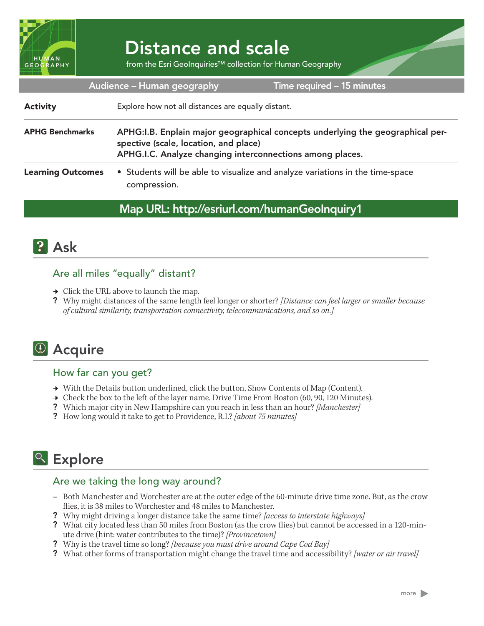

# Distance and scale

from the Esri GeoInquiries™ collection for Human Geography

| Audience – Human geography<br>Time required - 15 minutes |                                                                                                                                                                                       |
|----------------------------------------------------------|---------------------------------------------------------------------------------------------------------------------------------------------------------------------------------------|
| <b>Activity</b>                                          | Explore how not all distances are equally distant.                                                                                                                                    |
| <b>APHG Benchmarks</b>                                   | APHG: I.B. Enplain major geographical concepts underlying the geographical per-<br>spective (scale, location, and place)<br>APHG.I.C. Analyze changing interconnections among places. |
| <b>Learning Outcomes</b>                                 | • Students will be able to visualize and analyze variations in the time-space<br>compression.                                                                                         |

#### Map URL: http://esriurl.com/humanGeoInquiry1



#### Are all miles "equally" distant?

- → Click the URL above to launch the map.
- ? Why might distances of the same length feel longer or shorter? *[Distance can feel larger or smaller because of cultural similarity, transportation connectivity, telecommunications, and so on.]*

## <sup>4</sup> Acquire

#### How far can you get?

- → With the Details button underlined, click the button, Show Contents of Map (Content).
- $\rightarrow$  Check the box to the left of the layer name, Drive Time From Boston (60, 90, 120 Minutes).
- ? Which major city in New Hampshire can you reach in less than an hour? *[Manchester]*
- ? How long would it take to get to Providence, R.I.? *[about 75 minutes]*

## <sup>o</sup> Explore

#### Are we taking the long way around?

- **–** Both Manchester and Worchester are at the outer edge of the 60-minute drive time zone. But, as the crow flies, it is 38 miles to Worchester and 48 miles to Manchester.
- ? Why might driving a longer distance take the same time? *[access to interstate highways]*
- ? What city located less than 50 miles from Boston (as the crow flies) but cannot be accessed in a 120-minute drive (hint: water contributes to the time)? *[Provincetown]*
- ? Why is the travel time so long? *[because you must drive around Cape Cod Bay]*
- ? What other forms of transportation might change the travel time and accessibility? *[water or air travel]*